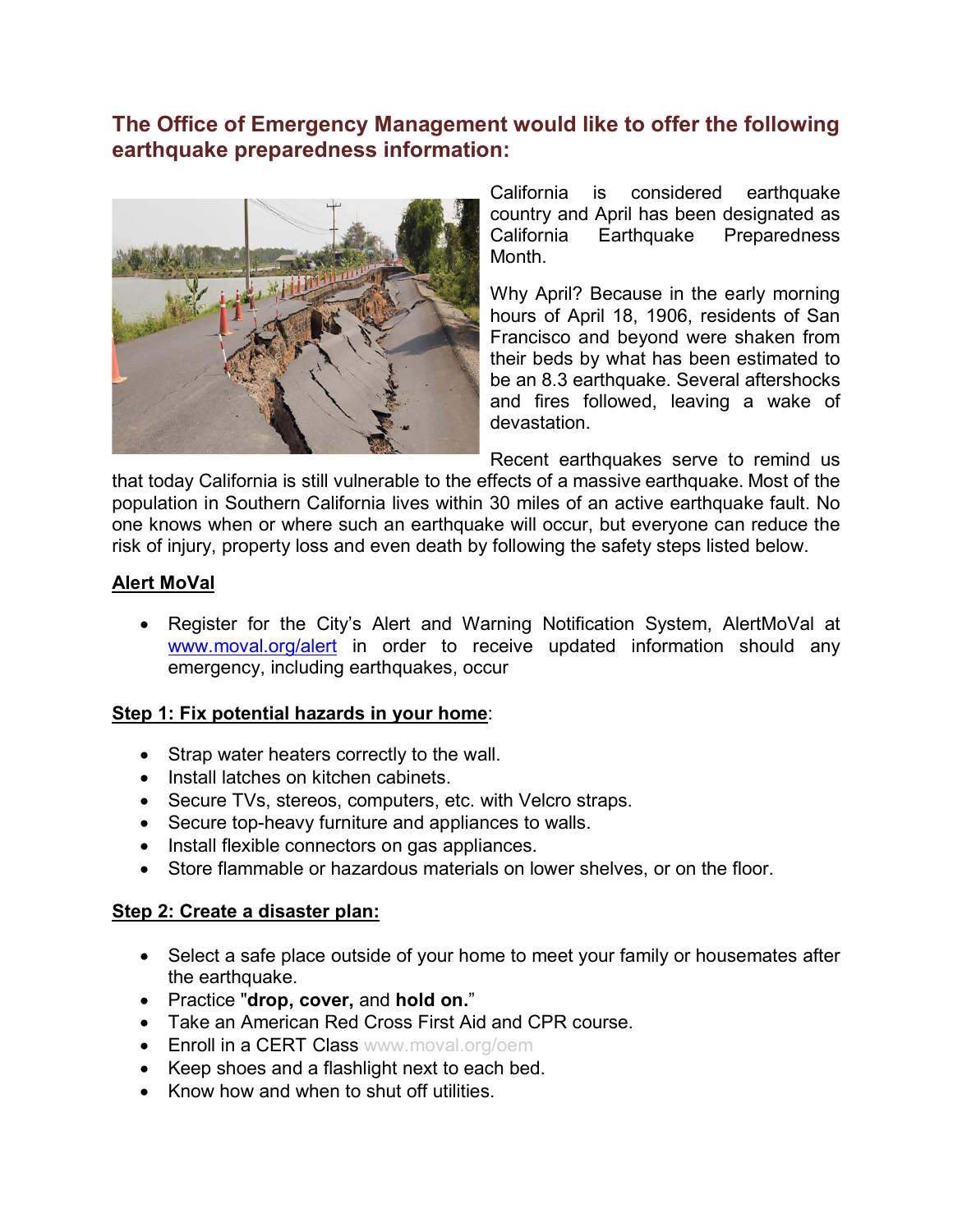# **The Office of Emergency Management would like to offer the following earthquake preparedness information:**



California is considered earthquake country and April has been designated as California Earthquake Preparedness Month.

Why April? Because in the early morning hours of April 18, 1906, residents of San Francisco and beyond were shaken from their beds by what has been estimated to be an 8.3 earthquake. Several aftershocks and fires followed, leaving a wake of devastation.

Recent earthquakes serve to remind us

that today California is still vulnerable to the effects of a massive earthquake. Most of the population in Southern California lives within 30 miles of an active earthquake fault. No one knows when or where such an earthquake will occur, but everyone can reduce the risk of injury, property loss and even death by following the safety steps listed below.

#### **Alert MoVal**

• Register for the City's Alert and Warning Notification System, AlertMoVal at [www.moval.org/alert](http://www.moval.org/alert) in order to receive updated information should any emergency, including earthquakes, occur

#### **Step 1: Fix potential hazards in your home**:

- Strap water heaters correctly to the wall.
- Install latches on kitchen cabinets.
- Secure TVs, stereos, computers, etc. with Velcro straps.
- Secure top-heavy furniture and appliances to walls.
- Install flexible connectors on gas appliances.
- Store flammable or hazardous materials on lower shelves, or on the floor.

## **Step 2: Create a disaster plan:**

- Select a safe place outside of your home to meet your family or housemates after the earthquake.
- Practice "**drop, cover,** and **hold on.**"
- Take an American Red Cross First Aid and CPR course.
- **Enroll in a CERT Class [www.moval.org/oem](http://www.moval.org/oem)**
- Keep shoes and a flashlight next to each bed.
- Know how and when to shut off utilities.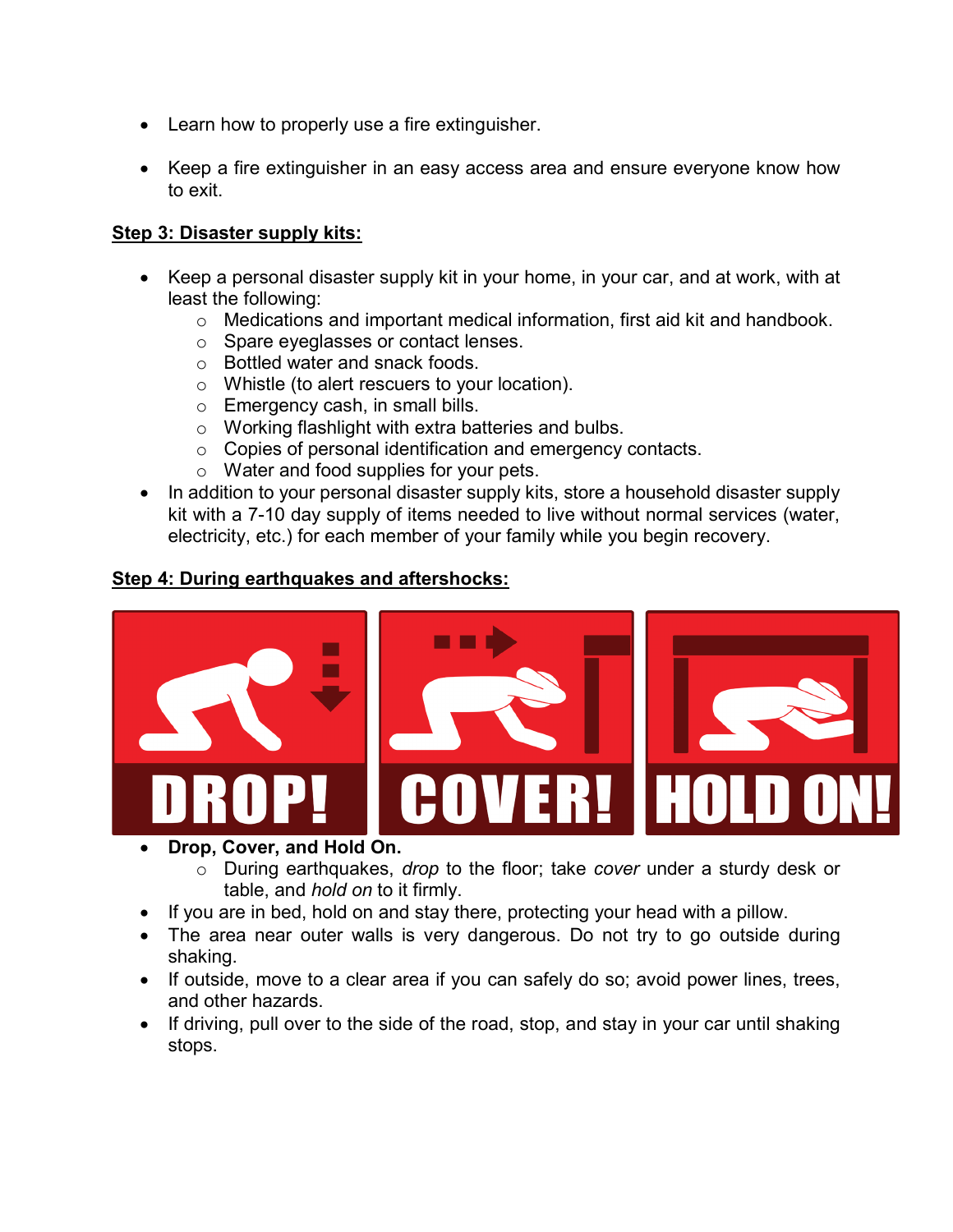- Learn how to properly use a fire extinguisher.
- Keep a fire extinguisher in an easy access area and ensure everyone know how to exit.

#### **Step 3: Disaster supply kits:**

- Keep a personal disaster supply kit in your home, in your car, and at work, with at least the following:
	- o Medications and important medical information, first aid kit and handbook.
	- o Spare eyeglasses or contact lenses.
	- o Bottled water and snack foods.
	- o Whistle (to alert rescuers to your location).
	- o Emergency cash, in small bills.
	- o Working flashlight with extra batteries and bulbs.
	- o Copies of personal identification and emergency contacts.
	- o Water and food supplies for your pets.
- In addition to your personal disaster supply kits, store a household disaster supply kit with a 7-10 day supply of items needed to live without normal services (water, electricity, etc.) for each member of your family while you begin recovery.

### **Step 4: During earthquakes and aftershocks:**



- **Drop, Cover, and Hold On.**
	- o During earthquakes, *drop* to the floor; take *cover* under a sturdy desk or table, and *hold on* to it firmly.
- If you are in bed, hold on and stay there, protecting your head with a pillow.
- The area near outer walls is very dangerous. Do not try to go outside during shaking.
- If outside, move to a clear area if you can safely do so; avoid power lines, trees, and other hazards.
- If driving, pull over to the side of the road, stop, and stay in your car until shaking stops.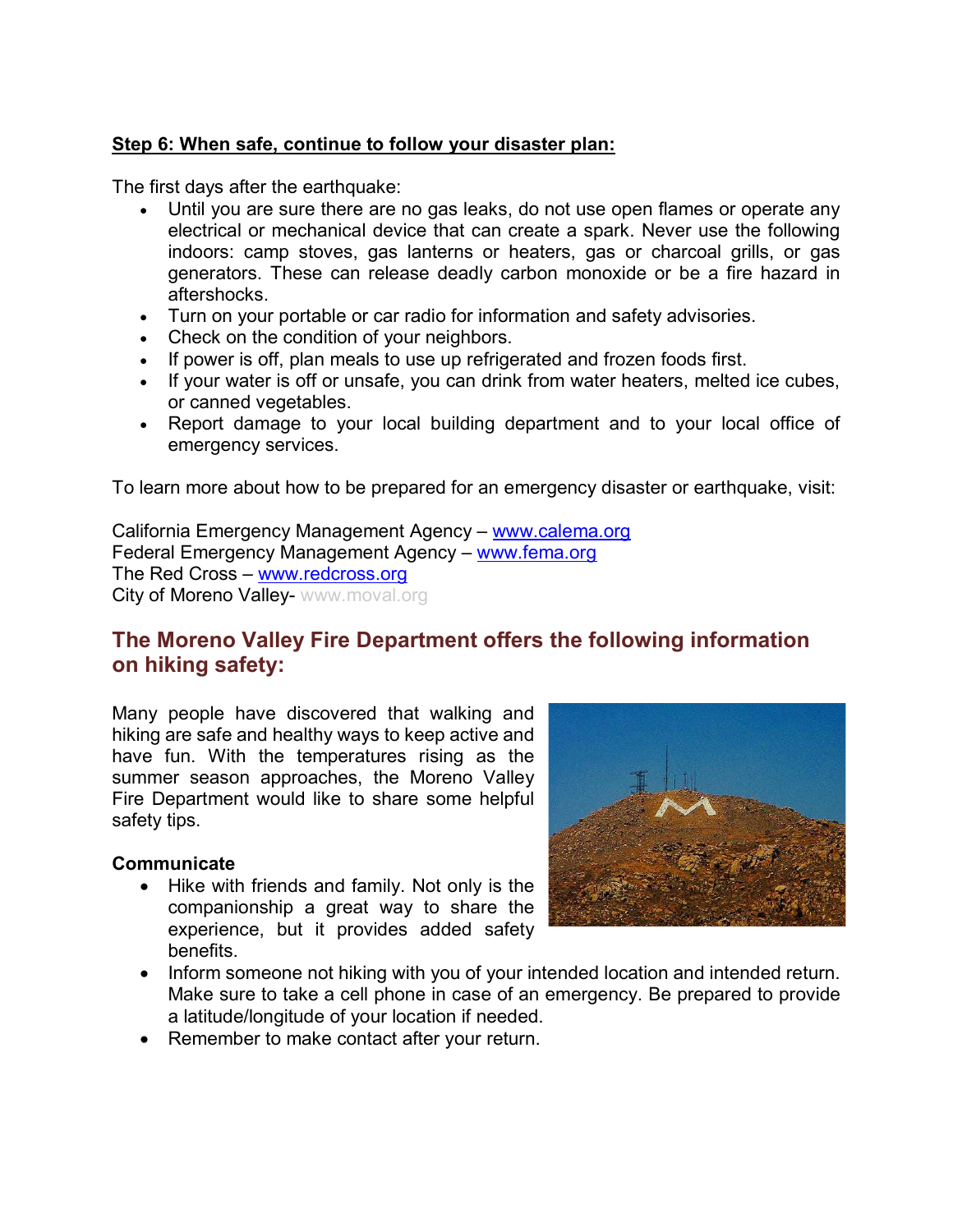### **Step 6: When safe, continue to follow your disaster plan:**

The first days after the earthquake:

- Until you are sure there are no gas leaks, do not use open flames or operate any electrical or mechanical device that can create a spark. Never use the following indoors: camp stoves, gas lanterns or heaters, gas or charcoal grills, or gas generators. These can release deadly carbon monoxide or be a fire hazard in aftershocks.
- Turn on your portable or car radio for information and safety advisories.
- Check on the condition of your neighbors.
- If power is off, plan meals to use up refrigerated and frozen foods first.
- If your water is off or unsafe, you can drink from water heaters, melted ice cubes, or canned vegetables.
- Report damage to your local building department and to your local office of emergency services.

To learn more about how to be prepared for an emergency disaster or earthquake, visit:

California Emergency Management Agency – [www.calema.org](http://www.calema.org/) Federal Emergency Management Agency – [www.fema.org](http://www.fema.org/) The Red Cross – [www.redcross.org](http://www.redcross.org/) City of Moreno Valley- [www.moval.org](http://www.moval.org/)

# **The Moreno Valley Fire Department offers the following information on hiking safety:**

Many people have discovered that walking and hiking are safe and healthy ways to keep active and have fun. With the temperatures rising as the summer season approaches, the Moreno Valley Fire Department would like to share some helpful safety tips.

#### **Communicate**

• Hike with friends and family. Not only is the companionship a great way to share the experience, but it provides added safety benefits.



- Inform someone not hiking with you of your intended location and intended return. Make sure to take a cell phone in case of an emergency. Be prepared to provide a latitude/longitude of your location if needed.
- Remember to make contact after your return.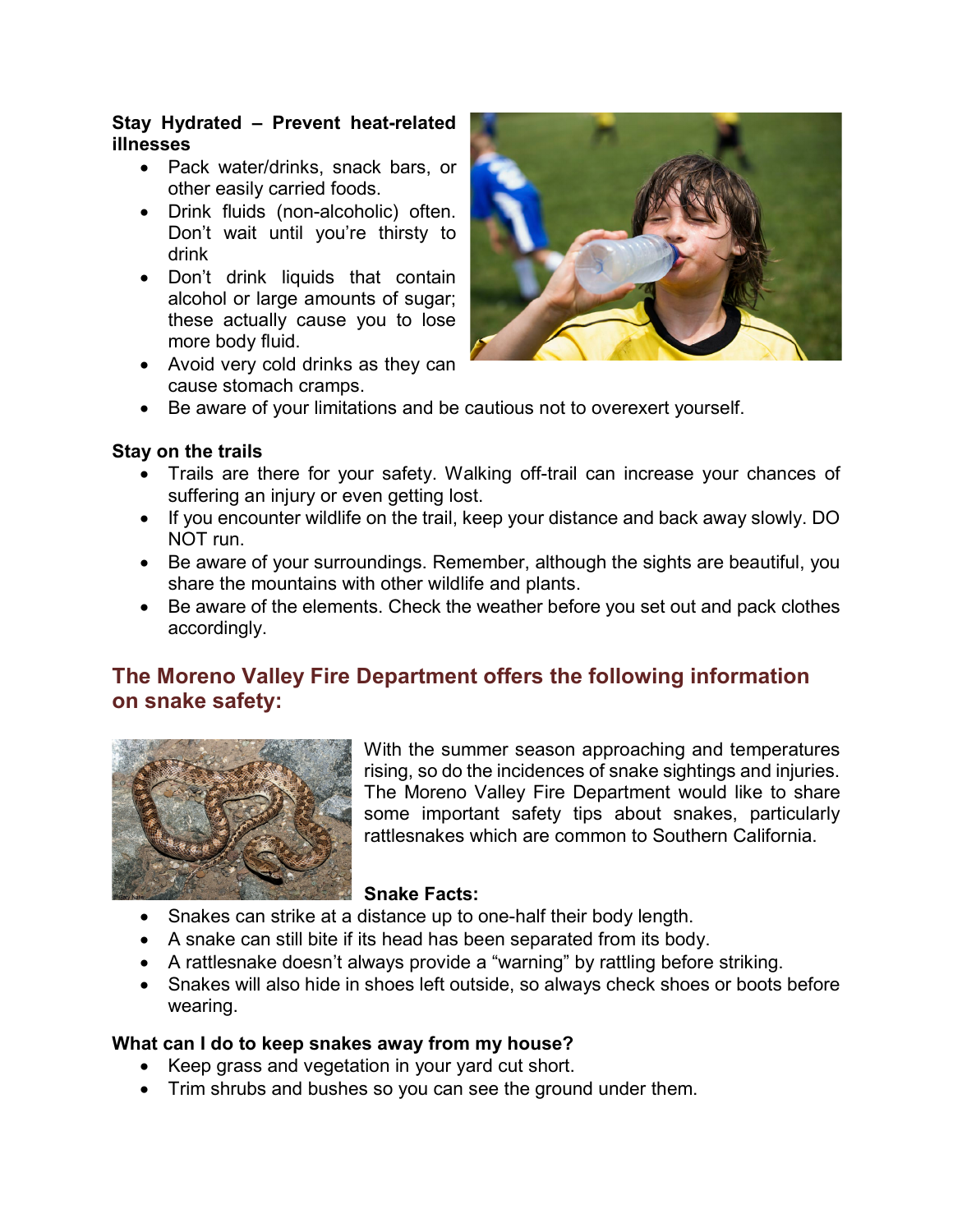#### **Stay Hydrated – Prevent heat-related illnesses**

- Pack water/drinks, snack bars, or other easily carried foods.
- Drink fluids (non-alcoholic) often. Don't wait until you're thirsty to drink
- Don't drink liquids that contain alcohol or large amounts of sugar; these actually cause you to lose more body fluid.
- Avoid very cold drinks as they can cause stomach cramps.



• Be aware of your limitations and be cautious not to overexert yourself.

### **Stay on the trails**

- Trails are there for your safety. Walking off-trail can increase your chances of suffering an injury or even getting lost.
- If you encounter wildlife on the trail, keep your distance and back away slowly. DO NOT run.
- Be aware of your surroundings. Remember, although the sights are beautiful, you share the mountains with other wildlife and plants.
- Be aware of the elements. Check the weather before you set out and pack clothes accordingly.

## **The Moreno Valley Fire Department offers the following information on snake safety:**



With the summer season approaching and temperatures rising, so do the incidences of snake sightings and injuries. The Moreno Valley Fire Department would like to share some important safety tips about snakes, particularly rattlesnakes which are common to Southern California.

#### **Snake Facts:**

- Snakes can strike at a distance up to one-half their body length.
- A snake can still bite if its head has been separated from its body.
- A rattlesnake doesn't always provide a "warning" by rattling before striking.
- Snakes will also hide in shoes left outside, so always check shoes or boots before wearing.

## **What can I do to keep snakes away from my house?**

- Keep grass and vegetation in your yard cut short.
- Trim shrubs and bushes so you can see the ground under them.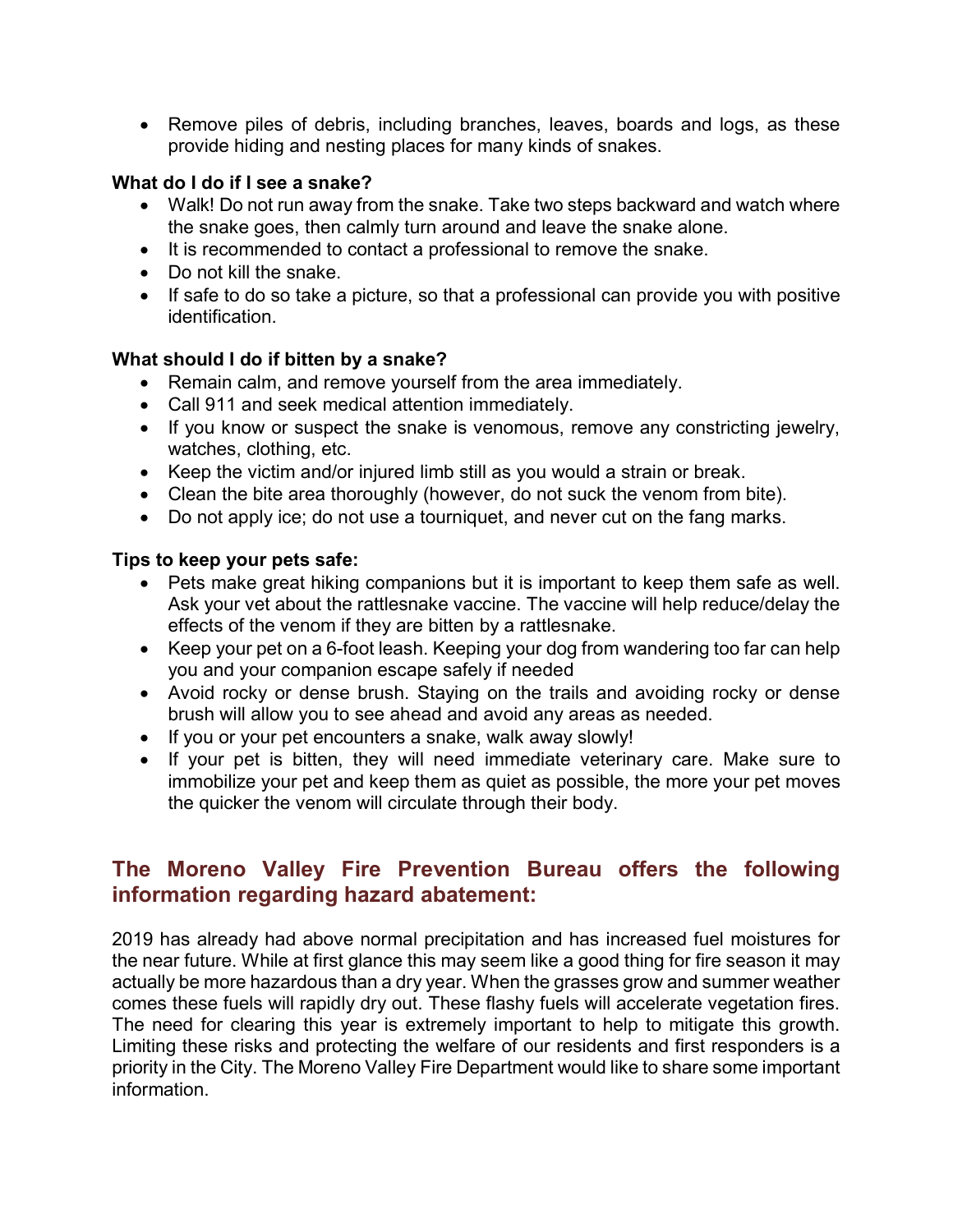• Remove piles of debris, including branches, leaves, boards and logs, as these provide hiding and nesting places for many kinds of snakes.

### **What do I do if I see a snake?**

- Walk! Do not run away from the snake. Take two steps backward and watch where the snake goes, then calmly turn around and leave the snake alone.
- It is recommended to contact a professional to remove the snake.
- Do not kill the snake.
- If safe to do so take a picture, so that a professional can provide you with positive identification.

## **What should I do if bitten by a snake?**

- Remain calm, and remove yourself from the area immediately.
- Call 911 and seek medical attention immediately.
- If you know or suspect the snake is venomous, remove any constricting jewelry, watches, clothing, etc.
- Keep the victim and/or injured limb still as you would a strain or break.
- Clean the bite area thoroughly (however, do not suck the venom from bite).
- Do not apply ice; do not use a tourniquet, and never cut on the fang marks.

#### **Tips to keep your pets safe:**

- Pets make great hiking companions but it is important to keep them safe as well. Ask your vet about the rattlesnake vaccine. The vaccine will help reduce/delay the effects of the venom if they are bitten by a rattlesnake.
- Keep your pet on a 6-foot leash. Keeping your dog from wandering too far can help you and your companion escape safely if needed
- Avoid rocky or dense brush. Staying on the trails and avoiding rocky or dense brush will allow you to see ahead and avoid any areas as needed.
- If you or your pet encounters a snake, walk away slowly!
- If your pet is bitten, they will need immediate veterinary care. Make sure to immobilize your pet and keep them as quiet as possible, the more your pet moves the quicker the venom will circulate through their body.

# **The Moreno Valley Fire Prevention Bureau offers the following information regarding hazard abatement:**

2019 has already had above normal precipitation and has increased fuel moistures for the near future. While at first glance this may seem like a good thing for fire season it may actually be more hazardous than a dry year. When the grasses grow and summer weather comes these fuels will rapidly dry out. These flashy fuels will accelerate vegetation fires. The need for clearing this year is extremely important to help to mitigate this growth. Limiting these risks and protecting the welfare of our residents and first responders is a priority in the City. The Moreno Valley Fire Department would like to share some important information.